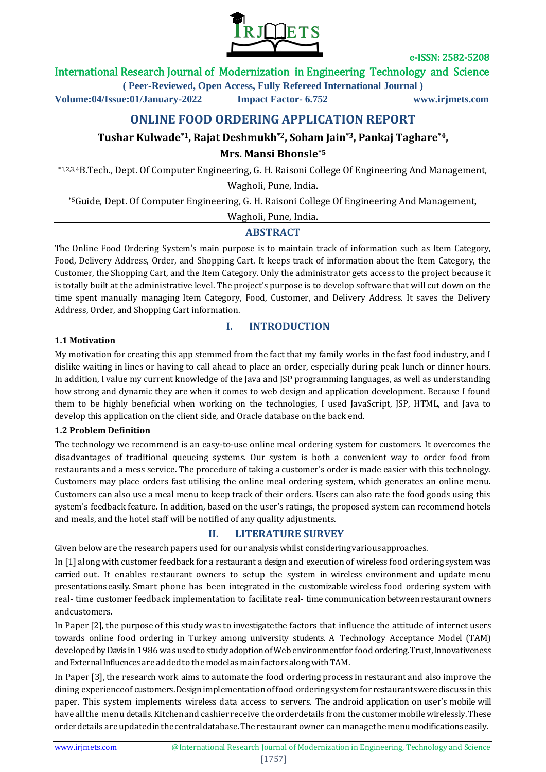

# International Research Journal of Modernization in Engineering Technology and Science

**( Peer-Reviewed, Open Access, Fully Refereed International Journal )**

**Volume:04/Issue:01/January-2022 Impact Factor- 6.752 www.irjmets.com**

# **ONLINE FOOD ORDERING APPLICATION REPORT**

# **Tushar Kulwade\*1, Rajat Deshmukh\*2, Soham Jain\*3, Pankaj Taghare\*4,**

**Mrs. Mansi Bhonsle\*5**

\*1,2,3,4B.Tech., Dept. Of Computer Engineering, G. H. Raisoni College Of Engineering And Management, Wagholi, Pune, India.

\*5Guide, Dept. Of Computer Engineering, G. H. Raisoni College Of Engineering And Management,

Wagholi, Pune, India.

# **ABSTRACT**

The Online Food Ordering System's main purpose is to maintain track of information such as Item Category, Food, Delivery Address, Order, and Shopping Cart. It keeps track of information about the Item Category, the Customer, the Shopping Cart, and the Item Category. Only the administrator gets access to the project because it is totally built at the administrative level. The project's purpose is to develop software that will cut down on the time spent manually managing Item Category, Food, Customer, and Delivery Address. It saves the Delivery Address, Order, and Shopping Cart information.

#### **1.1 Motivation**

# **I. INTRODUCTION**

My motivation for creating this app stemmed from the fact that my family works in the fast food industry, and I dislike waiting in lines or having to call ahead to place an order, especially during peak lunch or dinner hours. In addition, I value my current knowledge of the Java and JSP programming languages, as well as understanding how strong and dynamic they are when it comes to web design and application development. Because I found them to be highly beneficial when working on the technologies, I used JavaScript, JSP, HTML, and Java to develop this application on the client side, and Oracle database on the back end.

#### **1.2 Problem Definition**

The technology we recommend is an easy-to-use online meal ordering system for customers. It overcomes the disadvantages of traditional queueing systems. Our system is both a convenient way to order food from restaurants and a mess service. The procedure of taking a customer's order is made easier with this technology. Customers may place orders fast utilising the online meal ordering system, which generates an online menu. Customers can also use a meal menu to keep track of their orders. Users can also rate the food goods using this system's feedback feature. In addition, based on the user's ratings, the proposed system can recommend hotels and meals, and the hotel staff will be notified of any quality adjustments.

# **II. LITERATURE SURVEY**

Given below are the research papers used for our analysis whilst consideringvariousapproaches.

In [1] along with customer feedback for a restaurant a design and execution of wireless food ordering system was carried out. It enables restaurant owners to setup the system in wireless environment and update menu presentations easily. Smart phone has been integrated in the customizable wireless food ordering system with real- time customer feedback implementation to facilitate real- time communicationbetween restaurant owners andcustomers.

In Paper [2], the purpose of this study was to investigatethe factors that influence the attitude of internet users towards online food ordering in Turkey among university students. A Technology Acceptance Model (TAM) developed by Davis in 1986 was used to study adoption of Web environmentfor food ordering. Trust, Innovativeness andExternalInfluences are added to the modelas main factors along with TAM.

In Paper [3], the research work aims to automate the food ordering process in restaurant and also improve the dining experienceof customers.Designimplementation offood orderingsystemfor restaurantswerediscuss inthis paper. This system implements wireless data access to servers. The android application on user's mobile will have all the menu details. Kitchen and cashier receive the order details from the customermobile wirelessly. These orderdetails areupdatedinthecentraldatabase.Therestaurantowner can managethe menu modificationseasily.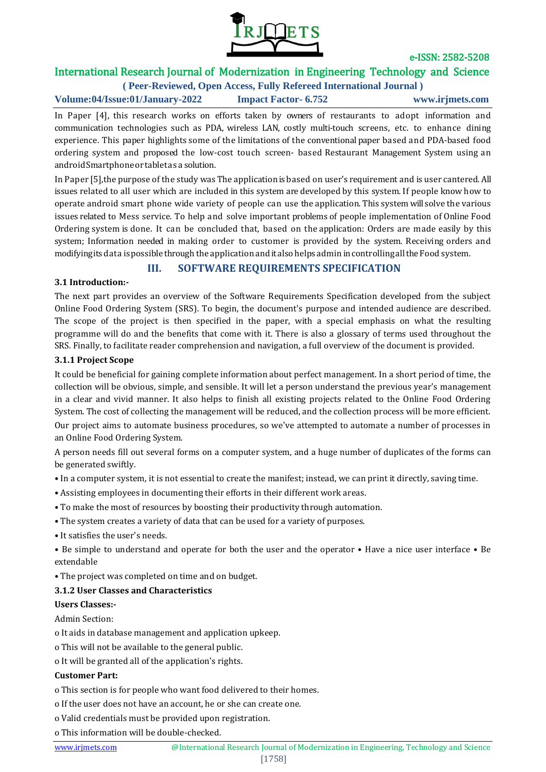

# International Research Journal of Modernization in Engineering Technology and Science

**( Peer-Reviewed, Open Access, Fully Refereed International Journal ) Volume:04/Issue:01/January-2022 Impact Factor- 6.752 www.irjmets.com**

In Paper [4], this research works on efforts taken by owners of restaurants to adopt information and communication technologies such as PDA, wireless LAN, costly multi-touch screens, etc. to enhance dining experience. This paper highlights some of the limitations of the conventional paper based and PDA-based food ordering system and proposed the low-cost touch screen- based Restaurant Management System using an androidSmartphoneortabletas a solution.

In Paper [5],the purpose of the study was The applicationis based on user's requirement and is user cantered. All issues related to all user which are included in this system are developed by this system. If people know how to operate android smart phone wide variety of people can use the application. This system willsolve the various issues related to Mess service. To help and solve important problems of people implementation of Online Food Ordering system is done. It can be concluded that, based on the application: Orders are made easily by this system; Information needed in making order to customer is provided by the system. Receiving orders and modifyingitsdata ispossible through the application anditalsohelpsadmin incontrollingallthe Food system.

# **III. SOFTWARE REQUIREMENTS SPECIFICATION**

#### **3.1 Introduction:-**

The next part provides an overview of the Software Requirements Specification developed from the subject Online Food Ordering System (SRS). To begin, the document's purpose and intended audience are described. The scope of the project is then specified in the paper, with a special emphasis on what the resulting programme will do and the benefits that come with it. There is also a glossary of terms used throughout the SRS. Finally, to facilitate reader comprehension and navigation, a full overview of the document is provided.

#### **3.1.1 Project Scope**

It could be beneficial for gaining complete information about perfect management. In a short period of time, the collection will be obvious, simple, and sensible. It will let a person understand the previous year's management in a clear and vivid manner. It also helps to finish all existing projects related to the Online Food Ordering System. The cost of collecting the management will be reduced, and the collection process will be more efficient. Our project aims to automate business procedures, so we've attempted to automate a number of processes in an Online Food Ordering System.

A person needs fill out several forms on a computer system, and a huge number of duplicates of the forms can be generated swiftly.

- In a computer system, it is not essential to create the manifest; instead, we can print it directly, saving time.
- Assisting employees in documenting their efforts in their different work areas.
- To make the most of resources by boosting their productivity through automation.
- The system creates a variety of data that can be used for a variety of purposes.
- It satisfies the user's needs.
- Be simple to understand and operate for both the user and the operator Have a nice user interface Be extendable
- The project was completed on time and on budget.

#### **3.1.2 User Classes and Characteristics**

#### **Users Classes:-**

Admin Section:

- o It aids in database management and application upkeep.
- o This will not be available to the general public.
- o It will be granted all of the application's rights.

#### **Customer Part:**

- o This section is for people who want food delivered to their homes.
- o If the user does not have an account, he or she can create one.
- o Valid credentials must be provided upon registration.
- o This information will be double-checked.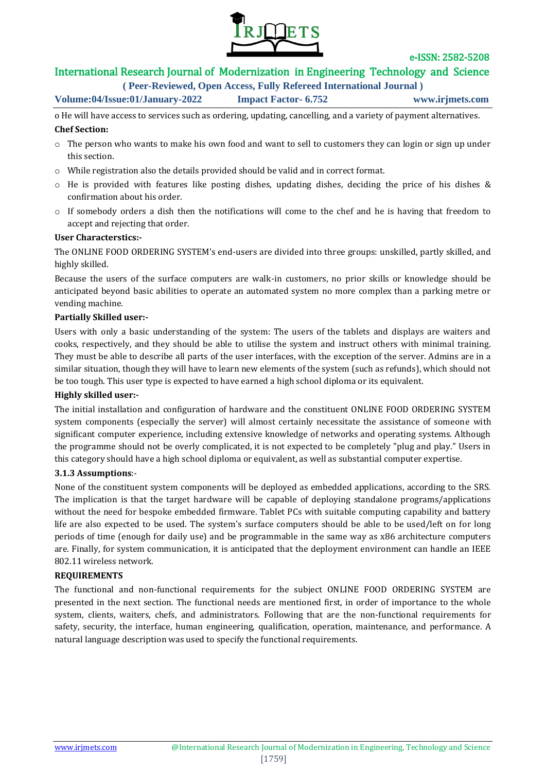

# International Research Journal of Modernization in Engineering Technology and Science

**( Peer-Reviewed, Open Access, Fully Refereed International Journal )**

**Volume:04/Issue:01/January-2022 Impact Factor- 6.752 www.irjmets.com**

o He will have access to services such as ordering, updating, cancelling, and a variety of payment alternatives. **Chef Section:**

- o The person who wants to make his own food and want to sell to customers they can login or sign up under this section.
- o While registration also the details provided should be valid and in correct format.
- o He is provided with features like posting dishes, updating dishes, deciding the price of his dishes & confirmation about his order.
- o If somebody orders a dish then the notifications will come to the chef and he is having that freedom to accept and rejecting that order.

# **User Characterstics:-**

The ONLINE FOOD ORDERING SYSTEM's end-users are divided into three groups: unskilled, partly skilled, and highly skilled.

Because the users of the surface computers are walk-in customers, no prior skills or knowledge should be anticipated beyond basic abilities to operate an automated system no more complex than a parking metre or vending machine.

#### **Partially Skilled user:-**

Users with only a basic understanding of the system: The users of the tablets and displays are waiters and cooks, respectively, and they should be able to utilise the system and instruct others with minimal training. They must be able to describe all parts of the user interfaces, with the exception of the server. Admins are in a similar situation, though they will have to learn new elements of the system (such as refunds), which should not be too tough. This user type is expected to have earned a high school diploma or its equivalent.

# **Highly skilled user:-**

The initial installation and configuration of hardware and the constituent ONLINE FOOD ORDERING SYSTEM system components (especially the server) will almost certainly necessitate the assistance of someone with significant computer experience, including extensive knowledge of networks and operating systems. Although the programme should not be overly complicated, it is not expected to be completely "plug and play." Users in this category should have a high school diploma or equivalent, as well as substantial computer expertise.

#### **3.1.3 Assumptions**:-

None of the constituent system components will be deployed as embedded applications, according to the SRS. The implication is that the target hardware will be capable of deploying standalone programs/applications without the need for bespoke embedded firmware. Tablet PCs with suitable computing capability and battery life are also expected to be used. The system's surface computers should be able to be used/left on for long periods of time (enough for daily use) and be programmable in the same way as x86 architecture computers are. Finally, for system communication, it is anticipated that the deployment environment can handle an IEEE 802.11 wireless network.

# **REQUIREMENTS**

The functional and non-functional requirements for the subject ONLINE FOOD ORDERING SYSTEM are presented in the next section. The functional needs are mentioned first, in order of importance to the whole system, clients, waiters, chefs, and administrators. Following that are the non-functional requirements for safety, security, the interface, human engineering, qualification, operation, maintenance, and performance. A natural language description was used to specify the functional requirements.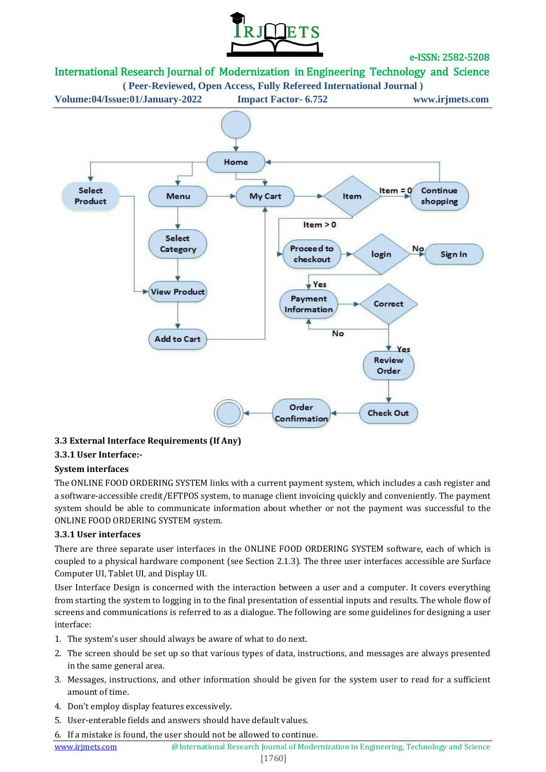

# International Research Journal of Modernization in Engineering Technology and Science



# **3.3 External Interface Requirements (If Any)**

# **3.3.1 User Interface:-**

#### **System interfaces**

The ONLINE FOOD ORDERING SYSTEM links with a current payment system, which includes a cash register and a software-accessible credit/EFTPOS system, to manage client invoicing quickly and conveniently. The payment system should be able to communicate information about whether or not the payment was successful to the ONLINE FOOD ORDERING SYSTEM system.

#### **3.3.1 User interfaces**

There are three separate user interfaces in the ONLINE FOOD ORDERING SYSTEM software, each of which is coupled to a physical hardware component (see Section 2.1.3). The three user interfaces accessible are Surface Computer UI, Tablet UI, and Display UI.

User Interface Design is concerned with the interaction between a user and a computer. It covers everything from starting the system to logging in to the final presentation of essential inputs and results. The whole flow of screens and communications is referred to as a dialogue. The following are some guidelines for designing a user interface:

- 1. The system's user should always be aware of what to do next.
- 2. The screen should be set up so that various types of data, instructions, and messages are always presented in the same general area.
- 3. Messages, instructions, and other information should be given for the system user to read for a sufficient amount of time.
- 4. Don't employ display features excessively.
- 5. User-enterable fields and answers should have default values.
- 6. If a mistake is found, the user should not be allowed to continue.

www.irjmets.com <sup>@International Research Journal of Modernization in Engineering, Technology and Science</sup>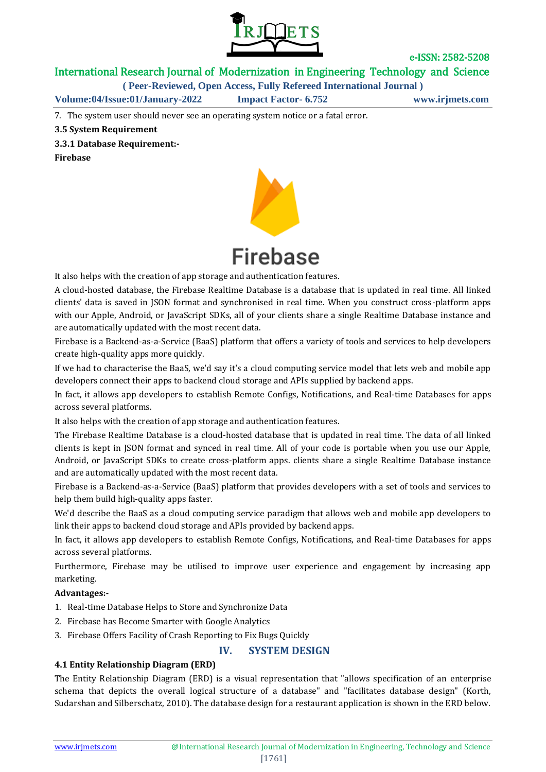

International Research Journal of Modernization in Engineering Technology and Science

**( Peer-Reviewed, Open Access, Fully Refereed International Journal )**

**Volume:04/Issue:01/January-2022 Impact Factor- 6.752 www.irjmets.com**

7. The system user should never see an operating system notice or a fatal error.

#### **3.5 System Requirement**

**3.3.1 Database Requirement:-**

**Firebase**



It also helps with the creation of app storage and authentication features.

A cloud-hosted database, the Firebase Realtime Database is a database that is updated in real time. All linked clients' data is saved in JSON format and synchronised in real time. When you construct cross-platform apps with our Apple, Android, or JavaScript SDKs, all of your clients share a single Realtime Database instance and are automatically updated with the most recent data.

Firebase is a Backend-as-a-Service (BaaS) platform that offers a variety of tools and services to help developers create high-quality apps more quickly.

If we had to characterise the BaaS, we'd say it's a cloud computing service model that lets web and mobile app developers connect their apps to backend cloud storage and APIs supplied by backend apps.

In fact, it allows app developers to establish Remote Configs, Notifications, and Real-time Databases for apps across several platforms.

It also helps with the creation of app storage and authentication features.

The Firebase Realtime Database is a cloud-hosted database that is updated in real time. The data of all linked clients is kept in JSON format and synced in real time. All of your code is portable when you use our Apple, Android, or JavaScript SDKs to create cross-platform apps. clients share a single Realtime Database instance and are automatically updated with the most recent data.

Firebase is a Backend-as-a-Service (BaaS) platform that provides developers with a set of tools and services to help them build high-quality apps faster.

We'd describe the BaaS as a cloud computing service paradigm that allows web and mobile app developers to link their apps to backend cloud storage and APIs provided by backend apps.

In fact, it allows app developers to establish Remote Configs, Notifications, and Real-time Databases for apps across several platforms.

Furthermore, Firebase may be utilised to improve user experience and engagement by increasing app marketing.

#### **Advantages:-**

- 1. Real-time Database Helps to Store and Synchronize Data
- 2. Firebase has Become Smarter with Google Analytics
- 3. Firebase Offers Facility of Crash Reporting to Fix Bugs Quickly

# **IV. SYSTEM DESIGN**

# **4.1 Entity Relationship Diagram (ERD)**

The Entity Relationship Diagram (ERD) is a visual representation that "allows specification of an enterprise schema that depicts the overall logical structure of a database" and "facilitates database design" (Korth, Sudarshan and Silberschatz, 2010). The database design for a restaurant application is shown in the ERD below.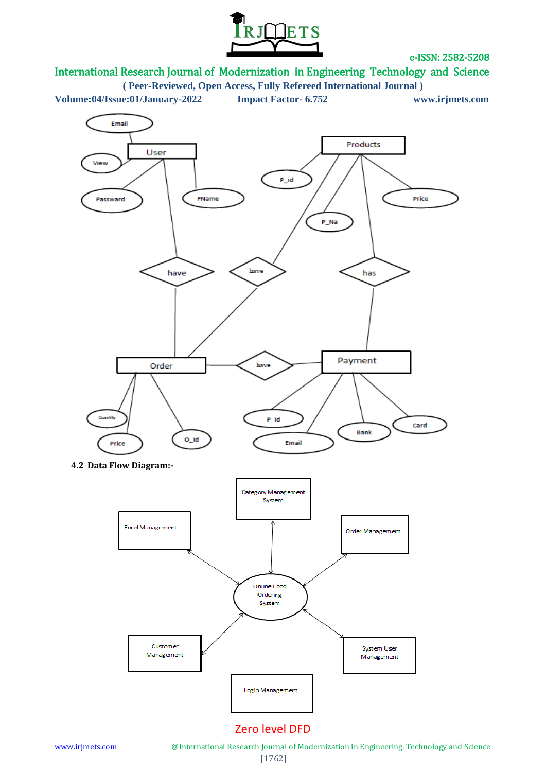

# International Research Journal of Modernization in Engineering Technology and Science

**( Peer-Reviewed, Open Access, Fully Refereed International Journal )**

**Volume:04/Issue:01/January-2022 Impact Factor- 6.752 www.irjmets.com**

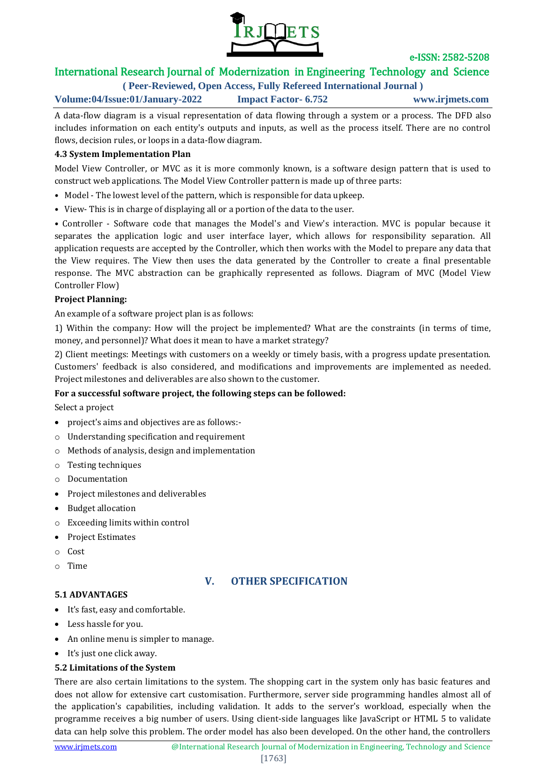

# International Research Journal of Modernization in Engineering Technology and Science

**( Peer-Reviewed, Open Access, Fully Refereed International Journal )**

**Volume:04/Issue:01/January-2022 Impact Factor- 6.752 www.irjmets.com**

A data-flow diagram is a visual representation of data flowing through a system or a process. The DFD also includes information on each entity's outputs and inputs, as well as the process itself. There are no control flows, decision rules, or loops in a data-flow diagram.

#### **4.3 System Implementation Plan**

Model View Controller, or MVC as it is more commonly known, is a software design pattern that is used to construct web applications. The Model View Controller pattern is made up of three parts:

- Model The lowest level of the pattern, which is responsible for data upkeep.
- View- This is in charge of displaying all or a portion of the data to the user.

• Controller - Software code that manages the Model's and View's interaction. MVC is popular because it separates the application logic and user interface layer, which allows for responsibility separation. All application requests are accepted by the Controller, which then works with the Model to prepare any data that the View requires. The View then uses the data generated by the Controller to create a final presentable response. The MVC abstraction can be graphically represented as follows. Diagram of MVC (Model View Controller Flow)

#### **Project Planning:**

An example of a software project plan is as follows:

1) Within the company: How will the project be implemented? What are the constraints (in terms of time, money, and personnel)? What does it mean to have a market strategy?

2) Client meetings: Meetings with customers on a weekly or timely basis, with a progress update presentation. Customers' feedback is also considered, and modifications and improvements are implemented as needed. Project milestones and deliverables are also shown to the customer.

# **For a successful software project, the following steps can be followed:**

Select a project

- project's aims and objectives are as follows:-
- o Understanding specification and requirement
- o Methods of analysis, design and implementation
- o Testing techniques
- o Documentation
- Project milestones and deliverables
- Budget allocation
- o Exceeding limits within control
- Project Estimates
- o Cost
- o Time

# **V. OTHER SPECIFICATION**

#### **5.1 ADVANTAGES**

- It's fast, easy and comfortable.
- Less hassle for you.
- An online menu is simpler to manage.
- It's just one click away.

# **5.2 Limitations of the System**

There are also certain limitations to the system. The shopping cart in the system only has basic features and does not allow for extensive cart customisation. Furthermore, server side programming handles almost all of the application's capabilities, including validation. It adds to the server's workload, especially when the programme receives a big number of users. Using client-side languages like JavaScript or HTML 5 to validate data can help solve this problem. The order model has also been developed. On the other hand, the controllers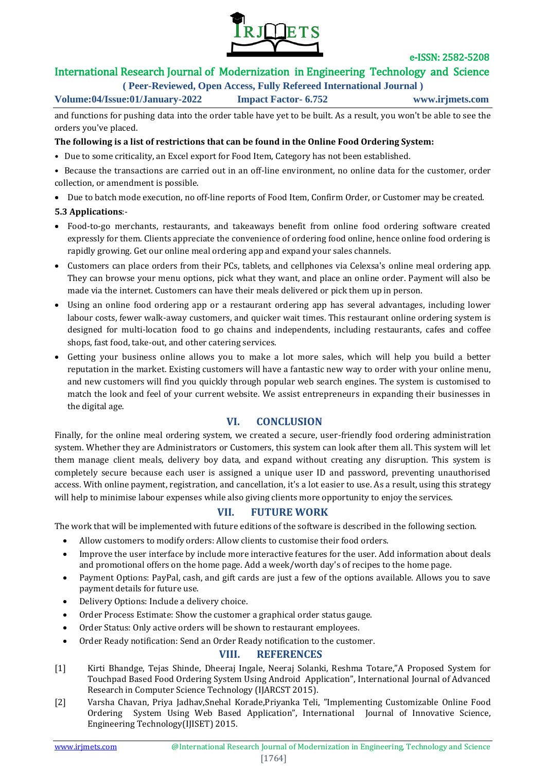

# International Research Journal of Modernization in Engineering Technology and Science

**( Peer-Reviewed, Open Access, Fully Refereed International Journal )**

### **Volume:04/Issue:01/January-2022 Impact Factor- 6.752 www.irjmets.com**

and functions for pushing data into the order table have yet to be built. As a result, you won't be able to see the orders you've placed.

#### **The following is a list of restrictions that can be found in the Online Food Ordering System:**

- Due to some criticality, an Excel export for Food Item, Category has not been established.
- Because the transactions are carried out in an off-line environment, no online data for the customer, order collection, or amendment is possible.
- Due to batch mode execution, no off-line reports of Food Item, Confirm Order, or Customer may be created.

#### **5.3 Applications**:-

- Food-to-go merchants, restaurants, and takeaways benefit from online food ordering software created expressly for them. Clients appreciate the convenience of ordering food online, hence online food ordering is rapidly growing. Get our online meal ordering app and expand your sales channels.
- Customers can place orders from their PCs, tablets, and cellphones via Celexsa's online meal ordering app. They can browse your menu options, pick what they want, and place an online order. Payment will also be made via the internet. Customers can have their meals delivered or pick them up in person.
- Using an online food ordering app or a restaurant ordering app has several advantages, including lower labour costs, fewer walk-away customers, and quicker wait times. This restaurant online ordering system is designed for multi-location food to go chains and independents, including restaurants, cafes and coffee shops, fast food, take-out, and other catering services.
- Getting your business online allows you to make a lot more sales, which will help you build a better reputation in the market. Existing customers will have a fantastic new way to order with your online menu, and new customers will find you quickly through popular web search engines. The system is customised to match the look and feel of your current website. We assist entrepreneurs in expanding their businesses in the digital age.

# **VI. CONCLUSION**

Finally, for the online meal ordering system, we created a secure, user-friendly food ordering administration system. Whether they are Administrators or Customers, this system can look after them all. This system will let them manage client meals, delivery boy data, and expand without creating any disruption. This system is completely secure because each user is assigned a unique user ID and password, preventing unauthorised access. With online payment, registration, and cancellation, it's a lot easier to use. As a result, using this strategy will help to minimise labour expenses while also giving clients more opportunity to enjoy the services.

# **VII. FUTURE WORK**

The work that will be implemented with future editions of the software is described in the following section.

- Allow customers to modify orders: Allow clients to customise their food orders.
- Improve the user interface by include more interactive features for the user. Add information about deals and promotional offers on the home page. Add a week/worth day's of recipes to the home page.
- Payment Options: PayPal, cash, and gift cards are just a few of the options available. Allows you to save payment details for future use.
- Delivery Options: Include a delivery choice.
- Order Process Estimate: Show the customer a graphical order status gauge.
- Order Status: Only active orders will be shown to restaurant employees.

#### Order Ready notification: Send an Order Ready notification to the customer.

# **VIII. REFERENCES**

- [1] Kirti Bhandge, Tejas Shinde, Dheeraj Ingale, Neeraj Solanki, Reshma Totare,"A Proposed System for Touchpad Based Food Ordering System Using Android Application", International Journal of Advanced Research in Computer Science Technology (IJARCST 2015).
- [2] Varsha Chavan, Priya Jadhav,Snehal Korade,Priyanka Teli, "Implementing Customizable Online Food Ordering System Using Web Based Application", International Journal of Innovative Science, Engineering Technology(IJISET) 2015.